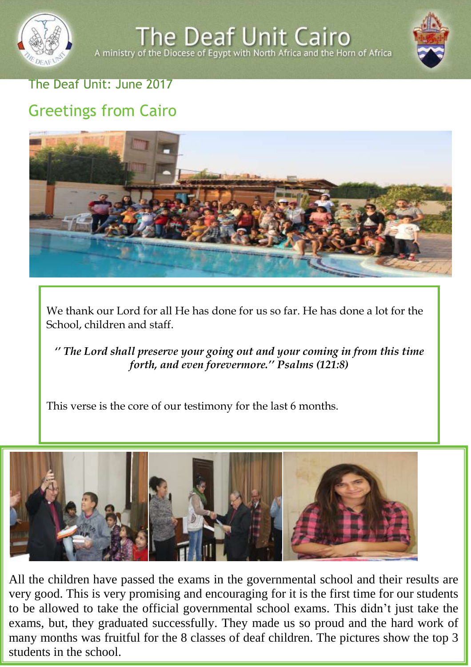

A ministry of the Diocese of Egypt with North Africa and the Horn of Africa



### The Deaf Unit: June 2017

# Greetings from Cairo



We thank our Lord for all He has done for us so far. He has done a lot for the School, children and staff.

*'' The Lord shall preserve your going out and your coming in from this time forth, and even forevermore.'' Psalms (121:8)*

This verse is the core of our testimony for the last 6 months.



many months was fruitful for the 8 classes of deaf children. The pictures show the top 3 All the children have passed the exams in the governmental school and their results are the emitted fluxe pubble the example in the governing very good. This is very promising and encouraging for it is the first time for our students to be allowed to take the official governmental school exams. This didn't just take the exams, but, they graduated successfully. They made us so proud and the hard work of students in the school.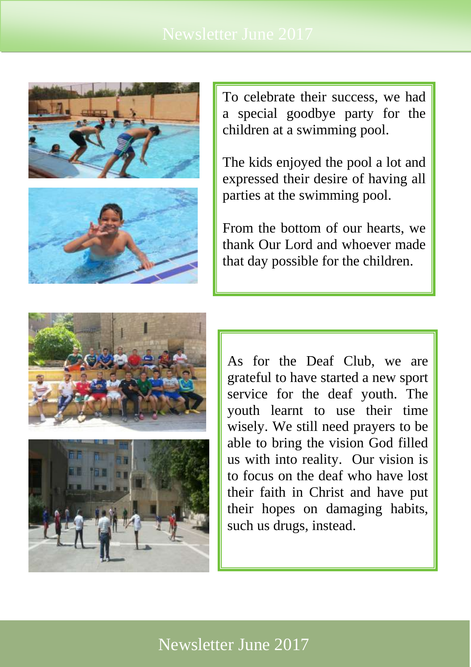



To celebrate their success, we had a special goodbye party for the children at a swimming pool.

The kids enjoyed the pool a lot and expressed their desire of having all parties at the swimming pool.

From the bottom of our hearts, we thank Our Lord and whoever made that day possible for the children.





As for the Deaf Club, we are grateful to have started a new sport service for the deaf youth. The youth learnt to use their time wisely. We still need prayers to be able to bring the vision God filled us with into reality. Our vision is to focus on the deaf who have lost their faith in Christ and have put their hopes on damaging habits, such us drugs, instead.

## Newsletter June 2017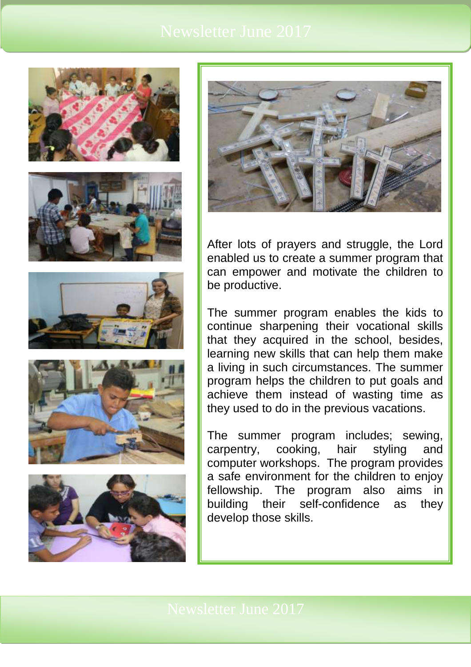











After lots of prayers and struggle, the Lord enabled us to create a summer program that can empower and motivate the children to be productive.

The summer program enables the kids to continue sharpening their vocational skills that they acquired in the school, besides, learning new skills that can help them make a living in such circumstances. The summer program helps the children to put goals and achieve them instead of wasting time as they used to do in the previous vacations.

The summer program includes; sewing, carpentry, cooking, hair styling and computer workshops. The program provides a safe environment for the children to enjoy fellowship. The program also aims in building their self-confidence as they develop those skills.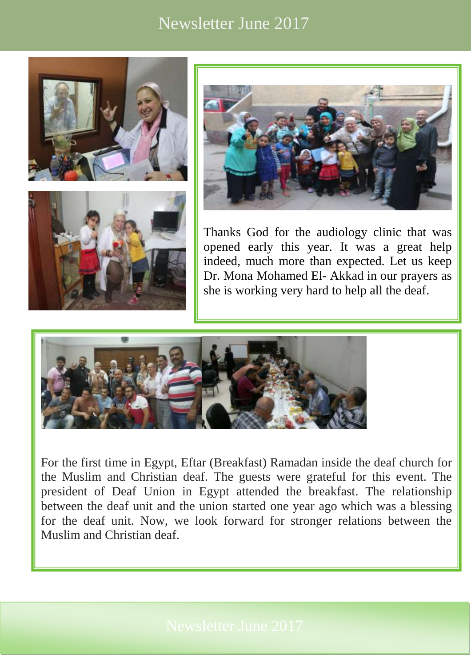## Newsletter June 2017







Thanks God for the audiology clinic that was opened early this year. It was a great help indeed, much more than expected. Let us keep Dr. Mona Mohamed El- Akkad in our prayers as she is working very hard to help all the deaf.



For the first time in Egypt, Eftar (Breakfast) Ramadan inside the deaf church for the Muslim and Christian deaf. The guests were grateful for this event. The president of Deaf Union in Egypt attended the breakfast. The relationship between the deaf unit and the union started one year ago which was a blessing for the deaf unit. Now, we look forward for stronger relations between the Muslim and Christian deaf.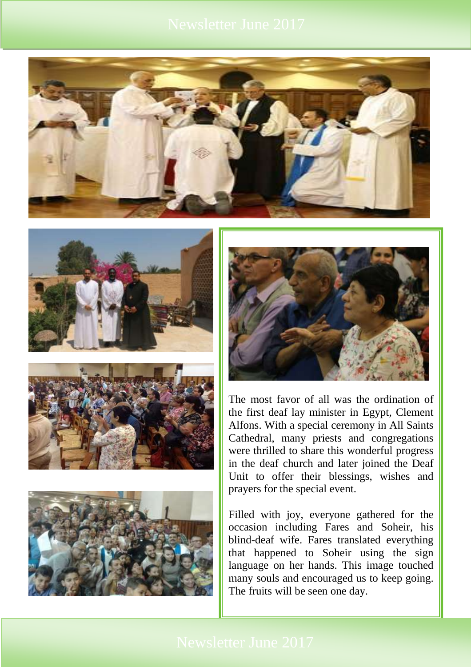









The most favor of all was the ordination of the first deaf lay minister in Egypt, Clement Alfons. With a special ceremony in All Saints Cathedral, many priests and congregations were thrilled to share this wonderful progress in the deaf church and later joined the Deaf Unit to offer their blessings, wishes and prayers for the special event.

Filled with joy, everyone gathered for the occasion including Fares and Soheir, his blind-deaf wife. Fares translated everything that happened to Soheir using the sign language on her hands. This image touched many souls and encouraged us to keep going. The fruits will be seen one day.